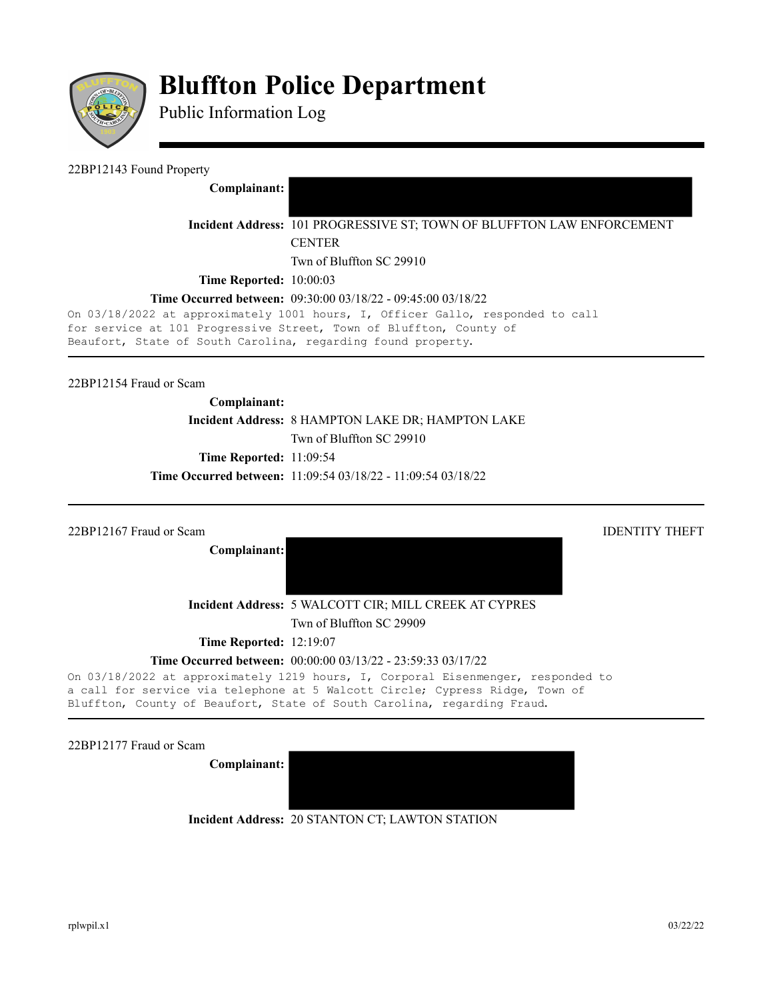

# **Bluffton Police Department**

Public Information Log

#### 22BP12143 Found Property

**Complainant:** 

**Incident Address:** 101 PROGRESSIVE ST; TOWN OF BLUFFTON LAW ENFORCEMENT **CENTER** 

Twn of Bluffton SC 29910

**Time Reported:** 10:00:03

### **Time Occurred between:** 09:30:00 03/18/22 - 09:45:00 03/18/22

On 03/18/2022 at approximately 1001 hours, I, Officer Gallo, responded to call for service at 101 Progressive Street, Town of Bluffton, County of Beaufort, State of South Carolina, regarding found property.

22BP12154 Fraud or Scam

# **Complainant: Incident Address:** 8 HAMPTON LAKE DR; HAMPTON LAKE Twn of Bluffton SC 29910 **Time Reported:** 11:09:54 **Time Occurred between:** 11:09:54 03/18/22 - 11:09:54 03/18/22

| 22BP12167 Fraud or Scam        | <b>IDENTITY THEFT</b>                                                                                                                                                                                                                       |
|--------------------------------|---------------------------------------------------------------------------------------------------------------------------------------------------------------------------------------------------------------------------------------------|
| Complainant:                   |                                                                                                                                                                                                                                             |
|                                |                                                                                                                                                                                                                                             |
|                                | Incident Address: 5 WALCOTT CIR; MILL CREEK AT CYPRES                                                                                                                                                                                       |
|                                | Twn of Bluffton SC 29909                                                                                                                                                                                                                    |
| <b>Time Reported: 12:19:07</b> |                                                                                                                                                                                                                                             |
|                                | <b>Time Occurred between:</b> $00:00:00003/13/22 - 23:59:3303/17/22$                                                                                                                                                                        |
|                                | On 03/18/2022 at approximately 1219 hours, I, Corporal Eisenmenger, responded to<br>a call for service via telephone at 5 Walcott Circle; Cypress Ridge, Town of<br>Bluffton, County of Beaufort, State of South Carolina, regarding Fraud. |

22BP12177 Fraud or Scam

**Complainant:** 

**Incident Address:** 20 STANTON CT; LAWTON STATION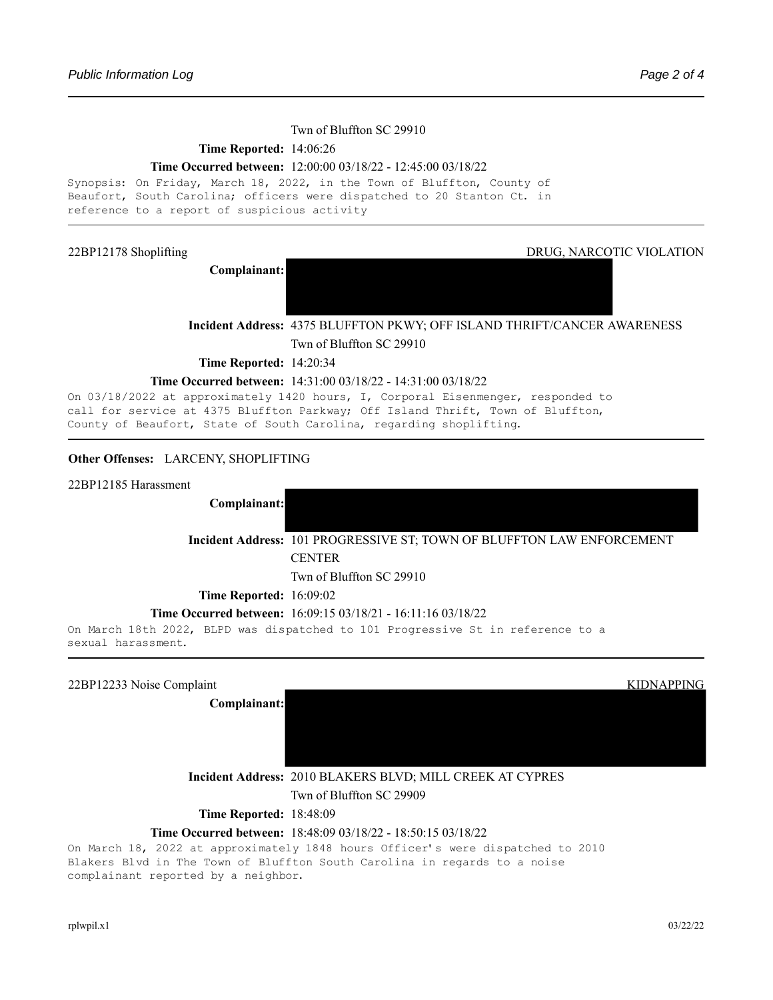#### Twn of Bluffton SC 29910

#### **Time Reported:** 14:06:26

#### **Time Occurred between:** 12:00:00 03/18/22 - 12:45:00 03/18/22

```
Synopsis: On Friday, March 18, 2022, in the Town of Bluffton, County of
Beaufort, South Carolina; officers were dispatched to 20 Stanton Ct. in
reference to a report of suspicious activity
```
**Complainant:**

22BP12178 Shoplifting DRUG, NARCOTIC VIOLATION

**Incident Address:** 4375 BLUFFTON PKWY; OFF ISLAND THRIFT/CANCER AWARENESS

Twn of Bluffton SC 29910

**Time Reported:** 14:20:34

#### **Time Occurred between:** 14:31:00 03/18/22 - 14:31:00 03/18/22

On 03/18/2022 at approximately 1420 hours, I, Corporal Eisenmenger, responded to call for service at 4375 Bluffton Parkway; Off Island Thrift, Town of Bluffton, County of Beaufort, State of South Carolina, regarding shoplifting.

#### **Other Offenses:**  LARCENY, SHOPLIFTING

22BP12185 Harassment

**Complainant:**

**Incident Address:** 101 PROGRESSIVE ST; TOWN OF BLUFFTON LAW ENFORCEMENT **CENTER** 

Twn of Bluffton SC 29910

**Time Reported:** 16:09:02

#### **Time Occurred between:** 16:09:15 03/18/21 - 16:11:16 03/18/22

On March 18th 2022, BLPD was dispatched to 101 Progressive St in reference to a sexual harassment.

| 22BP12233 Noise Complaint | <b>KIDNAPPING</b>                                         |
|---------------------------|-----------------------------------------------------------|
| Complainant:              |                                                           |
|                           |                                                           |
|                           |                                                           |
|                           | Incident Address: 2010 BLAKERS BLVD; MILL CREEK AT CYPRES |

Twn of Bluffton SC 29909

**Time Reported:** 18:48:09

#### **Time Occurred between:** 18:48:09 03/18/22 - 18:50:15 03/18/22

On March 18, 2022 at approximately 1848 hours Officer's were dispatched to 2010 Blakers Blvd in The Town of Bluffton South Carolina in regards to a noise complainant reported by a neighbor.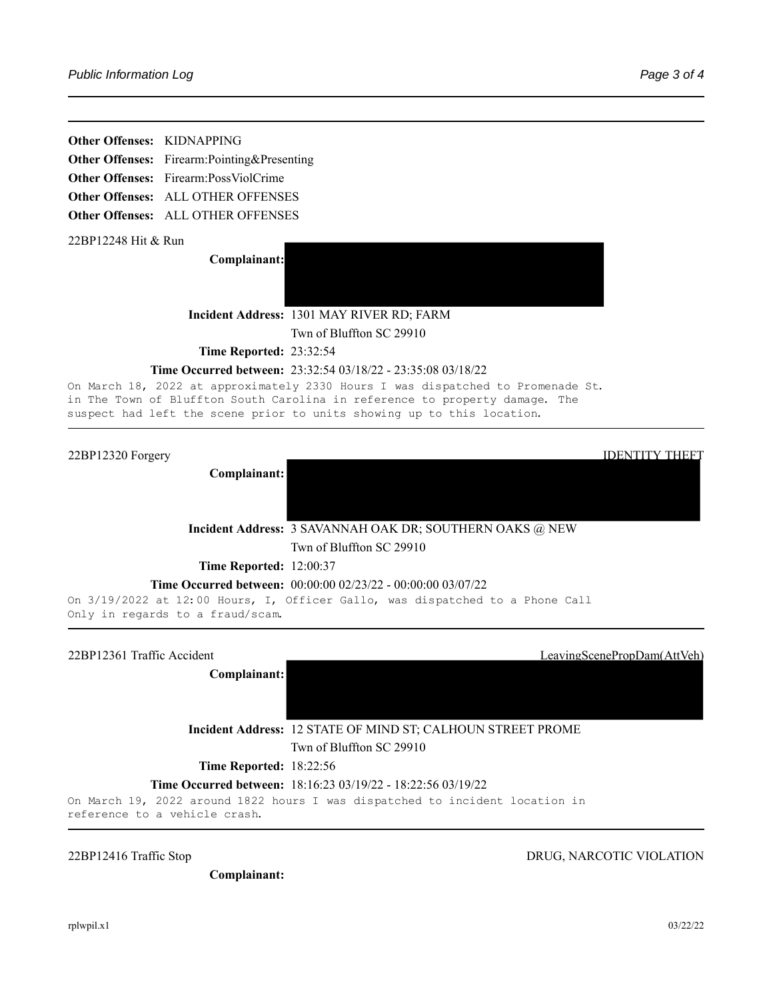**Other Offenses:**  KIDNAPPING

**Other Offenses:**  Firearm:Pointing&Presenting

**Other Offenses:** Firearm:PossViolCrime

**Other Offenses:**  ALL OTHER OFFENSES

**Other Offenses:**  ALL OTHER OFFENSES

22BP12248 Hit & Run

**Complainant:**



**Incident Address:** 1301 MAY RIVER RD; FARM Twn of Bluffton SC 29910

**Time Reported:** 23:32:54

#### **Time Occurred between:** 23:32:54 03/18/22 - 23:35:08 03/18/22

On March 18, 2022 at approximately 2330 Hours I was dispatched to Promenade St. in The Town of Bluffton South Carolina in reference to property damage. The suspect had left the scene prior to units showing up to this location.

22BP12320 Forgery IDENTITY THEFT



Twn of Bluffton SC 29910

**Time Reported:** 12:00:37

#### **Time Occurred between:** 00:00:00 02/23/22 - 00:00:00 03/07/22

On 3/19/2022 at 12:00 Hours, I, Officer Gallo, was dispatched to a Phone Call Only in regards to a fraud/scam.

22BP12361 Traffic Accident LeavingScenePropDam(AttVeh)

**Complainant:**

**Incident Address:** 12 STATE OF MIND ST; CALHOUN STREET PROME

Twn of Bluffton SC 29910

**Time Reported:** 18:22:56

#### **Time Occurred between:** 18:16:23 03/19/22 - 18:22:56 03/19/22

On March 19, 2022 around 1822 hours I was dispatched to incident location in reference to a vehicle crash.

22BP12416 Traffic Stop DRUG, NARCOTIC VIOLATION

**Complainant:**